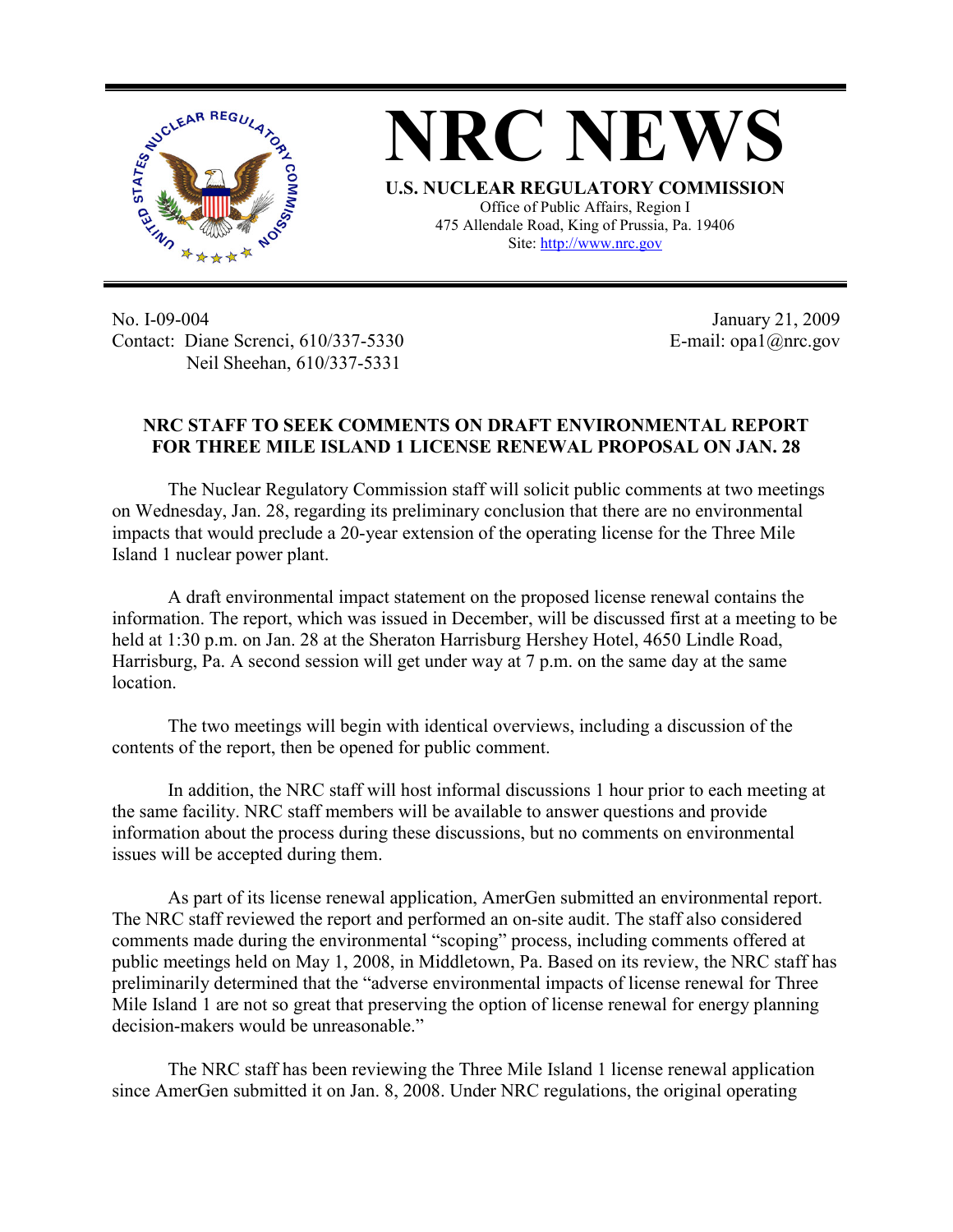

**NRC NEWS U.S. NUCLEAR REGULATORY COMMISSION** Office of Public Affairs, Region I 475 Allendale Road, King of Prussia, Pa. 19406

Site: http://www.nrc.gov

No. I-09-004 Contact: Diane Screnci, 610/337-5330 Neil Sheehan, 610/337-5331

January 21, 2009 E-mail: opa1@nrc.gov

## **NRC STAFF TO SEEK COMMENTS ON DRAFT ENVIRONMENTAL REPORT FOR THREE MILE ISLAND 1 LICENSE RENEWAL PROPOSAL ON JAN. 28**

The Nuclear Regulatory Commission staff will solicit public comments at two meetings on Wednesday, Jan. 28, regarding its preliminary conclusion that there are no environmental impacts that would preclude a 20-year extension of the operating license for the Three Mile Island 1 nuclear power plant.

A draft environmental impact statement on the proposed license renewal contains the information. The report, which was issued in December, will be discussed first at a meeting to be held at 1:30 p.m. on Jan. 28 at the Sheraton Harrisburg Hershey Hotel, 4650 Lindle Road, Harrisburg, Pa. A second session will get under way at 7 p.m. on the same day at the same location.

The two meetings will begin with identical overviews, including a discussion of the contents of the report, then be opened for public comment.

In addition, the NRC staff will host informal discussions 1 hour prior to each meeting at the same facility. NRC staff members will be available to answer questions and provide information about the process during these discussions, but no comments on environmental issues will be accepted during them.

As part of its license renewal application, AmerGen submitted an environmental report. The NRC staff reviewed the report and performed an on-site audit. The staff also considered comments made during the environmental "scoping" process, including comments offered at public meetings held on May 1, 2008, in Middletown, Pa. Based on its review, the NRC staff has preliminarily determined that the "adverse environmental impacts of license renewal for Three Mile Island 1 are not so great that preserving the option of license renewal for energy planning decision-makers would be unreasonable."

The NRC staff has been reviewing the Three Mile Island 1 license renewal application since AmerGen submitted it on Jan. 8, 2008. Under NRC regulations, the original operating